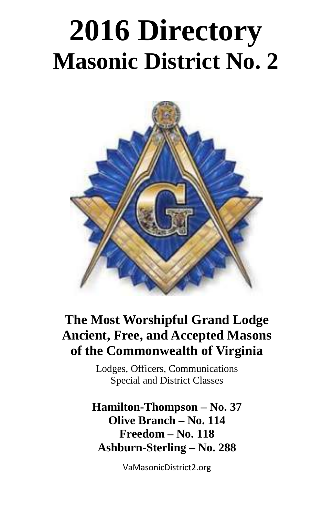# **2016 Directory Masonic District No. 2**



## **The Most Worshipful Grand Lodge Ancient, Free, and Accepted Masons of the Commonwealth of Virginia**

Lodges, Officers, Communications Special and District Classes

**Hamilton-Thompson – No. 37 Olive Branch – No. 114 Freedom – No. 118 Ashburn-Sterling – No. 288**

VaMasonicDistrict2.org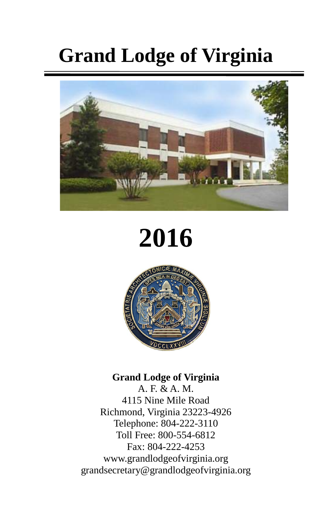## **Grand Lodge of Virginia**



## **2016**



#### **Grand Lodge of Virginia**

A. F. & A. M. 4115 Nine Mile Road Richmond, Virginia 23223-4926 Telephone: 804-222-3110 Toll Free: 800-554-6812 Fax: 804-222-4253 www.grandlodgeofvirginia.org grandsecretary@grandlodgeofvirginia.org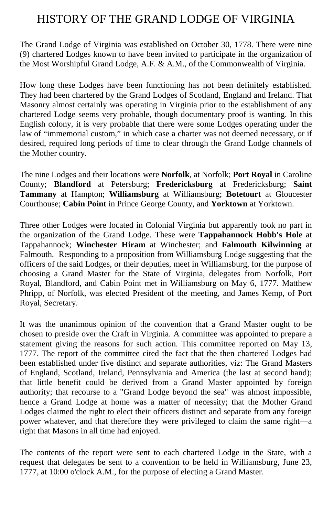#### HISTORY OF THE GRAND LODGE OF VIRGINIA

The Grand Lodge of Virginia was established on October 30, 1778. There were nine (9) chartered Lodges known to have been invited to participate in the organization of the Most Worshipful Grand Lodge, A.F. & A.M., of the Commonwealth of Virginia.

How long these Lodges have been functioning has not been definitely established. They had been chartered by the Grand Lodges of Scotland, England and Ireland. That Masonry almost certainly was operating in Virginia prior to the establishment of any chartered Lodge seems very probable, though documentary proof is wanting. In this English colony, it is very probable that there were some Lodges operating under the law of "immemorial custom," in which case a charter was not deemed necessary, or if desired, required long periods of time to clear through the Grand Lodge channels of the Mother country.

The nine Lodges and their locations were **Norfolk**, at Norfolk; **Port Royal** in Caroline County; **Blandford** at Petersburg; **Fredericksburg** at Fredericksburg; **Saint Tammany** at Hampton; **Williamsburg** at Williamsburg; **Botetourt** at Gloucester Courthouse; **Cabin Point** in Prince George County, and **Yorktown** at Yorktown.

Three other Lodges were located in Colonial Virginia but apparently took no part in the organization of the Grand Lodge. These were **Tappahannock Hobb's Hole** at Tappahannock; **Winchester Hiram** at Winchester; and **Falmouth Kilwinning** at Falmouth. Responding to a proposition from Williamsburg Lodge suggesting that the officers of the said Lodges, or their deputies, meet in Williamsburg, for the purpose of choosing a Grand Master for the State of Virginia, delegates from Norfolk, Port Royal, Blandford, and Cabin Point met in Williamsburg on May 6, 1777. Matthew Phripp, of Norfolk, was elected President of the meeting, and James Kemp, of Port Royal, Secretary.

It was the unanimous opinion of the convention that a Grand Master ought to be chosen to preside over the Craft in Virginia. A committee was appointed to prepare a statement giving the reasons for such action. This committee reported on May 13, 1777. The report of the committee cited the fact that the then chartered Lodges had been established under five distinct and separate authorities, viz: The Grand Masters of England, Scotland, Ireland, Pennsylvania and America (the last at second hand); that little benefit could be derived from a Grand Master appointed by foreign authority; that recourse to a "Grand Lodge beyond the sea" was almost impossible, hence a Grand Lodge at home was a matter of necessity; that the Mother Grand Lodges claimed the right to elect their officers distinct and separate from any foreign power whatever, and that therefore they were privileged to claim the same right—a right that Masons in all time had enjoyed.

The contents of the report were sent to each chartered Lodge in the State, with a request that delegates be sent to a convention to be held in Williamsburg, June 23, 1777, at 10:00 o'clock A.M., for the purpose of electing a Grand Master.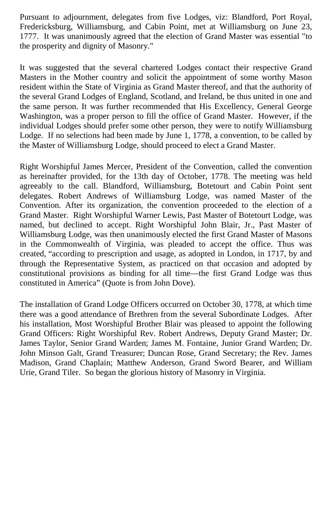Pursuant to adjournment, delegates from five Lodges, viz: Blandford, Port Royal, Fredericksburg, Williamsburg, and Cabin Point, met at Williamsburg on June 23, 1777. It was unanimously agreed that the election of Grand Master was essential "to the prosperity and dignity of Masonry."

It was suggested that the several chartered Lodges contact their respective Grand Masters in the Mother country and solicit the appointment of some worthy Mason resident within the State of Virginia as Grand Master thereof, and that the authority of the several Grand Lodges of England, Scotland, and Ireland, be thus united in one and the same person. It was further recommended that His Excellency, General George Washington, was a proper person to fill the office of Grand Master. However, if the individual Lodges should prefer some other person, they were to notify Williamsburg Lodge. If no selections had been made by June 1, 1778, a convention, to be called by the Master of Williamsburg Lodge, should proceed to elect a Grand Master.

Right Worshipful James Mercer, President of the Convention, called the convention as hereinafter provided, for the 13th day of October, 1778. The meeting was held agreeably to the call. Blandford, Williamsburg, Botetourt and Cabin Point sent delegates. Robert Andrews of Williamsburg Lodge, was named Master of the Convention. After its organization, the convention proceeded to the election of a Grand Master. Right Worshipful Warner Lewis, Past Master of Botetourt Lodge, was named, but declined to accept. Right Worshipful John Blair, Jr., Past Master of Williamsburg Lodge, was then unanimously elected the first Grand Master of Masons in the Commonwealth of Virginia, was pleaded to accept the office. Thus was created, "according to prescription and usage, as adopted in London, in 1717, by and through the Representative System, as practiced on that occasion and adopted by constitutional provisions as binding for all time—the first Grand Lodge was thus constituted in America" (Quote is from John Dove).

The installation of Grand Lodge Officers occurred on October 30, 1778, at which time there was a good attendance of Brethren from the several Subordinate Lodges. After his installation, Most Worshipful Brother Blair was pleased to appoint the following Grand Officers: Right Worshipful Rev. Robert Andrews, Deputy Grand Master; Dr. James Taylor, Senior Grand Warden; James M. Fontaine, Junior Grand Warden; Dr. John Minson Galt, Grand Treasurer; Duncan Rose, Grand Secretary; the Rev. James Madison, Grand Chaplain; Matthew Anderson, Grand Sword Bearer, and William Urie, Grand Tiler. So began the glorious history of Masonry in Virginia.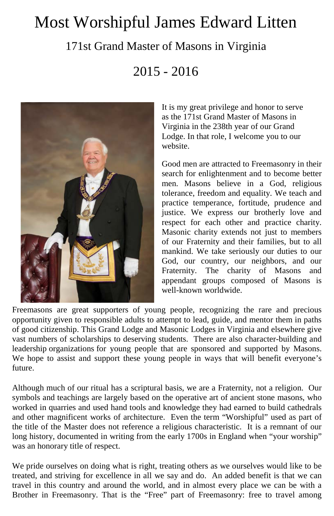## Most Worshipful James Edward Litten

#### 171st Grand Master of Masons in Virginia

2015 - 2016



It is my great privilege and honor to serve as the 171st Grand Master of Masons in Virginia in the 238th year of our Grand Lodge. In that role, I welcome you to our website.

Good men are attracted to Freemasonry in their search for enlightenment and to become better men. Masons believe in a God, religious tolerance, freedom and equality. We teach and practice temperance, fortitude, prudence and justice. We express our brotherly love and respect for each other and practice charity. Masonic charity extends not just to members of our Fraternity and their families, but to all mankind. We take seriously our duties to our God, our country, our neighbors, and our Fraternity. The charity of Masons and appendant groups composed of Masons is well-known worldwide.

Freemasons are great supporters of young people, recognizing the rare and precious opportunity given to responsible adults to attempt to lead, guide, and mentor them in paths of good citizenship. This Grand Lodge and Masonic Lodges in Virginia and elsewhere give vast numbers of scholarships to deserving students. There are also character-building and leadership organizations for young people that are sponsored and supported by Masons. We hope to assist and support these young people in ways that will benefit everyone's future.

Although much of our ritual has a scriptural basis, we are a Fraternity, not a religion. Our symbols and teachings are largely based on the operative art of ancient stone masons, who worked in quarries and used hand tools and knowledge they had earned to build cathedrals and other magnificent works of architecture. Even the term "Worshipful" used as part of the title of the Master does not reference a religious characteristic. It is a remnant of our long history, documented in writing from the early 1700s in England when "your worship" was an honorary title of respect.

We pride ourselves on doing what is right, treating others as we ourselves would like to be treated, and striving for excellence in all we say and do. An added benefit is that we can travel in this country and around the world, and in almost every place we can be with a Brother in Freemasonry. That is the "Free" part of Freemasonry: free to travel among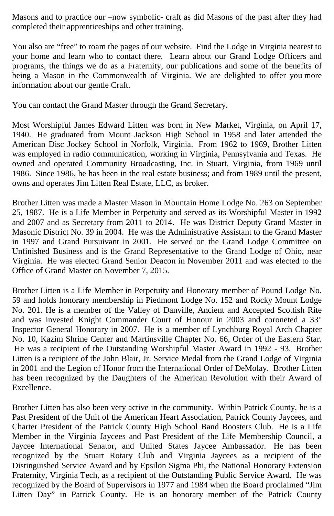Masons and to practice our –now symbolic- craft as did Masons of the past after they had completed their apprenticeships and other training.

You also are "free" to roam the pages of our website. Find the Lodge in Virginia nearest to your home and learn who to contact there. Learn about our Grand Lodge Officers and programs, the things we do as a Fraternity, our publications and some of the benefits of being a Mason in the Commonwealth of Virginia. We are delighted to offer you more information about our gentle Craft.

You can contact the Grand Master through the Grand Secretary.

Most Worshipful James Edward Litten was born in New Market, Virginia, on April 17, 1940. He graduated from Mount Jackson High School in 1958 and later attended the American Disc Jockey School in Norfolk, Virginia. From 1962 to 1969, Brother Litten was employed in radio communication, working in Virginia, Pennsylvania and Texas. He owned and operated Community Broadcasting, Inc. in Stuart, Virginia, from 1969 until 1986. Since 1986, he has been in the real estate business; and from 1989 until the present, owns and operates Jim Litten Real Estate, LLC, as broker.

Brother Litten was made a Master Mason in Mountain Home Lodge No. 263 on September 25, 1987. He is a Life Member in Perpetuity and served as its Worshipful Master in 1992 and 2007 and as Secretary from 2011 to 2014. He was District Deputy Grand Master in Masonic District No. 39 in 2004. He was the Administrative Assistant to the Grand Master in 1997 and Grand Pursuivant in 2001. He served on the Grand Lodge Committee on Unfinished Business and is the Grand Representative to the Grand Lodge of Ohio, near Virginia. He was elected Grand Senior Deacon in November 2011 and was elected to the Office of Grand Master on November 7, 2015.

Brother Litten is a Life Member in Perpetuity and Honorary member of Pound Lodge No. 59 and holds honorary membership in Piedmont Lodge No. 152 and Rocky Mount Lodge No. 201. He is a member of the Valley of Danville, Ancient and Accepted Scottish Rite and was invested Knight Commander Court of Honour in 2003 and coroneted a 33° Inspector General Honorary in 2007. He is a member of Lynchburg Royal Arch Chapter No. 10, Kazim Shrine Center and Martinsville Chapter No. 66, Order of the Eastern Star. He was a recipient of the Outstanding Worshipful Master Award in 1992 - 93. Brother Litten is a recipient of the John Blair, Jr. Service Medal from the Grand Lodge of Virginia in 2001 and the Legion of Honor from the International Order of DeMolay. Brother Litten has been recognized by the Daughters of the American Revolution with their Award of Excellence.

Brother Litten has also been very active in the community. Within Patrick County, he is a Past President of the Unit of the American Heart Association, Patrick County Jaycees, and Charter President of the Patrick County High School Band Boosters Club. He is a Life Member in the Virginia Jaycees and Past President of the Life Membership Council, a Jaycee International Senator, and United States Jaycee Ambassador. He has been recognized by the Stuart Rotary Club and Virginia Jaycees as a recipient of the Distinguished Service Award and by Epsilon Sigma Phi, the National Honorary Extension Fraternity, Virginia Tech, as a recipient of the Outstanding Public Service Award. He was recognized by the Board of Supervisors in 1977 and 1984 when the Board proclaimed "Jim Litten Day" in Patrick County. He is an honorary member of the Patrick County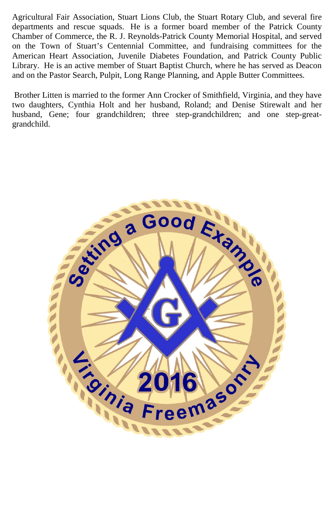Agricultural Fair Association, Stuart Lions Club, the Stuart Rotary Club, and several fire departments and rescue squads. He is a former board member of the Patrick County Chamber of Commerce, the R. J. Reynolds-Patrick County Memorial Hospital, and served on the Town of Stuart's Centennial Committee, and fundraising committees for the American Heart Association, Juvenile Diabetes Foundation, and Patrick County Public Library. He is an active member of Stuart Baptist Church, where he has served as Deacon and on the Pastor Search, Pulpit, Long Range Planning, and Apple Butter Committees.

Brother Litten is married to the former Ann Crocker of Smithfield, Virginia, and they have two daughters, Cynthia Holt and her husband, Roland; and Denise Stirewalt and her husband, Gene; four grandchildren; three step-grandchildren; and one step-greatgrandchild.

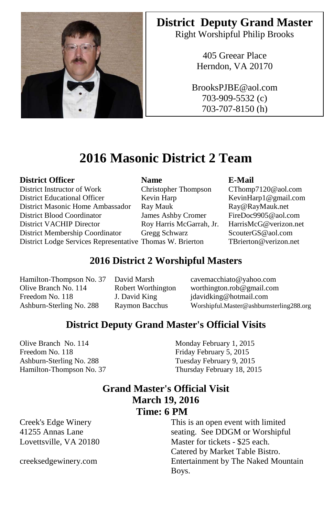

### **District Deputy Grand Master**

Right Worshipful Philip Brooks

405 Greear Place Herndon, VA 20170

BrooksPJBE@aol.com 703-909-5532 (c) 703-707-8150 (h)

### **2016 Masonic District 2 Team**

#### **District Officer Name E-Mail**

District Instructor of Work Christopher Thompson CThomp7120@aol.com District Educational Officer Kevin Harp Kevin Harp Kevin Harp1@gmail.com District Masonic Home Ambassador Ray Mauk [Ray@RayMauk.net](mailto:Ray@RayMauk.net) District Blood Coordinator James Ashby Cromer FireDoc9905@aol.com District Membership Coordinator Gregg Schwarz ScouterGS@aol.com District Lodge Services Representative Thomas W. Brierton TBrierton@verizon.net

Roy Harris McGarrah, Jr.

#### **2016 District 2 Worshipful Masters**

Hamilton-Thompson No. 37 David Marsh cavemacchiato@yahoo.com

Olive Branch No. 114 Robert Worthington worthington.rob@gmail.com<br>Freedom No. 118 J. David King idavidking@hotmail.com J. David King jdavidking@hotmail.com Ashburn-Sterling No. 288 Raymon Bacchus Worshipful.Master@ashburnsterling288.org

#### **District Deputy Grand Master's Official Visits**

Olive Branch No. 114 Monday February 1, 2015 Freedom No. 118 Friday February 5, 2015 Ashburn-Sterling No. 288 Tuesday February 9, 2015

Hamilton-Thompson No. 37 Thursday February 18, 2015

#### **Grand Master's Official Visit March 19, 2016 Time: 6 PM**

Creek's Edge Winery 41255 Annas Lane Lovettsville, VA 20180

creeksedgewinery.com

This is an open event with limited seating. See DDGM or Worshipful Master for tickets - \$25 each. Catered by Market Table Bistro. Entertainment by The Naked Mountain Boys.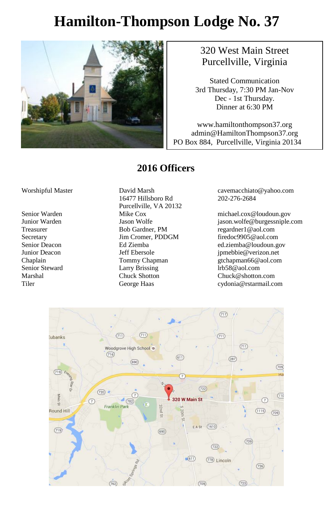## **Hamilton-Thompson Lodge No. 37**



#### 320 West Main Street Purcellville, Virginia

Stated Communication 3rd Thursday, 7:30 PM Jan-Nov Dec - 1st Thursday. Dinner at 6:30 PM

www.hamiltonthompson37.org admin@HamiltonThompson37.org PO Box 884, Purcellville, Virginia 20134

#### **2016 Officers**

#### Worshipful Master David Marsh

16477 Hillsboro Rd Purcellville, VA 20132 Treasurer Bob Gardner, PM regardner1@aol.com Secretary Jim Cromer, PDDGM firedoc9905@aol.com Senior Steward Larry Brissing From the Secondary Professor of the Larry Brissing (Secondary Professor of the M<br>
Chuck Shotton Chuck Chuck Chuck Chuck Chuck Chuck Chuck Chuck Chuck Chuck Chuck Chuck Chuck Chuck Chuck Chuck

cavemacchiato@yahoo.com 202-276-2684

Senior Warden Mike Cox michael.cox@loudoun.gov Jason Wolfe *jason.wolfe@burgessniple.com*<br>
Bob Gardner. PM regardner1@aol.com ed.ziemba@loudoun.gov Junior Deacon Jeff Ebersole jpmebbie@verizon.net Chaplain Tommy Chapman gtchapman66@aol.com Chuck@shotton.com Tiler George Haas cydonia@rstarmail.com

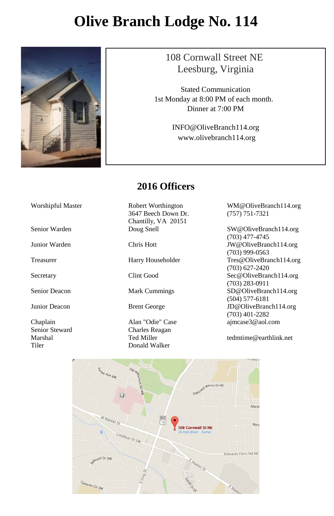## **Olive Branch Lodge No. 114**



#### 108 Cornwall Street NE Leesburg, Virginia

Stated Communication 1st Monday at 8:00 PM of each month. Dinner at 7:00 PM

> INFO@OliveBranch114.org www.olivebranch114.org

#### **2016 Officers**

Worshipful Master Robert Worthington 3647 Beech Down Dr. Chantilly, VA 20151

Chaplain **Alan "Odie" Case** [ajmcase3@aol.com](mailto:ajmcase3@aol.com)<br>
Senior Steward Charles Reagan Charles Reagan Marshal Ted Miller [tedmtime@earthlink.net](mailto:tedmtime@earthlink.net)<br>Tiler Donald Walker Donald Walker

WM@OliveBranch114.org (757) 751-7321

Senior Warden Doug Snell SW@OliveBranch114.org (703) 477-4745 Junior Warden Chris Hott JW@OliveBranch114.org (703) 999-0563 Treasurer Harry Householder Tres@OliveBranch114.org (703) 627-2420 Secretary Clint Good Sec@OliveBranch114.org (703) 283-0911 Senior Deacon Mark Cummings SD@OliveBranch114.org (504) 577-6181 Junior Deacon Brent George JD@OliveBranch114.org (703) 401-2282

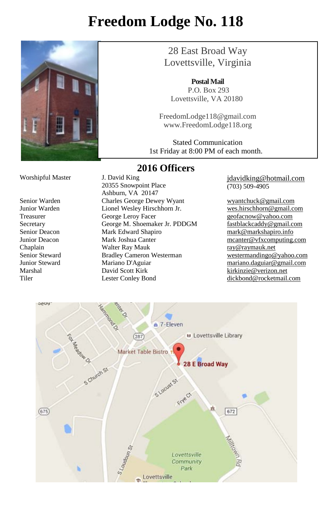## **Freedom Lodge No. 118**



28 East Broad Way Lovettsville, Virginia

**PostalMail** P.O. Box 293 Lovettsville, VA 20180

FreedomLodge118@gmail.com www.FreedomLodge118.org

Stated Communication 1st Friday at 8:00 PM of each month. ֺ֝

#### **2016 Officers**

Worshipful Master J. David King

20355 Snowpoint Place Ashburn, VA 20147 Senior Warden Charles George Dewey Wyant<br>
Junior Warden Lionel Wesley Hirschhorn Jr. Westhirschhorn @gmail.com Junior Warden Lionel Wesley Hirschhorn Jr. Treasurer George Leroy Facer and the end of the geofacnow exahoo.com<br>Secretary George M. Shoemaker Jr. PDDGM fastblackcaddy@gmail.com Secretary George M. Shoemaker Jr. PDDGM Senior Deacon Mark Edward Shapiro [mark@markshapiro.info](mailto:mark@markshapiro.info) Junior Deacon **Mark Joshua Canter** meanter meanter **meanter** when the mass of the mass of the mass of the mass of the mass of the mass of the mass of the mass of the mass of the mass of the mass of the mass of the mass of Chaplain Walter Ray Mauk [ray@raymauk.net](mailto:ray@raymauk.net) Senior Steward Bradley Cameron Westerman <br>
Innior Steward Mariano D'Aguiar Mariano D'Aguiar mariano daguiar@gmail.com Mariano D'Aguiar mariano.daguiar mariano.daguiar mariano.daguiar mariano.daguiar mariano.daguiar mariano.daguiar mariano.daguiar mariano.daguiar mariano.daguiar mariano.daguiar mariano.daguiar mariano.daguiar mariano.dagui Marshal David Scott Kirk [kirkinzie@verizon.net](mailto:kirkinzie@verizon.net) Tiler Lester Conley Bond [dickbond@rocketmail.com](mailto:dickbond@rocketmail.com)

[jdavidking@hotmail.com](mailto:jdavidking@hotmail.com) (703) 509-4905

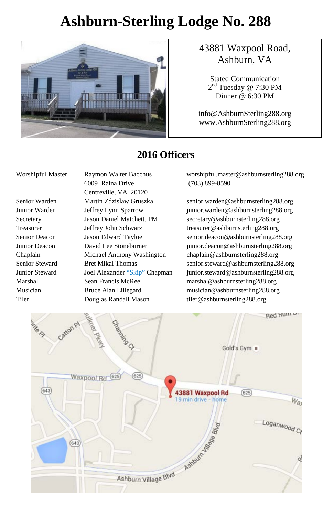## **Ashburn-Sterling Lodge No. 288**



#### 43881 Waxpool Road, Ashburn, VA

Stated Communication 2<sup>nd</sup> Tuesday @ 7:30 PM Dinner @ 6:30 PM

info@AshburnSterling288.org www.AshburnSterling288.org

#### **2016 Officers**

6009 Raina Drive (703) 899-8590 Centreville, VA 20120 Tiler Douglas Randall Mason tiler@ashburnsterling288.org

Worshipful Master Raymon Walter Bacchus worshipful.master@ashburnsterling288.org

Senior Warden Martin Zdzislaw Gruszka senior.warden@ashburnsterling288.org Junior Warden Jeffrey Lynn Sparrow junior.warden@ashburnsterling288.org Secretary Jason Daniel Matchett, PM secretary@ashburnsterling288.org Treasurer Jeffrey John Schwarz treasurer@ashburnsterling288.org Senior Deacon Jason Edward Tayloe senior.deacon@ashburnsterling288.org Junior Deacon David Lee Stoneburner junior.deacon@ashburnsterling288.org Chaplain Michael Anthony Washington chaplain@ashburnsterling288.org Senior Steward Bret Mikal Thomas senior.steward@ashburnsterling288.org Junior Steward Joel Alexander "Skip" Chapman junior.steward@ashburnsterling288.org Marshal Sean Francis McRee marshal@ashburnsterling288.org Musician Bruce Alan Lillegard musician@ashburnsterling288.org

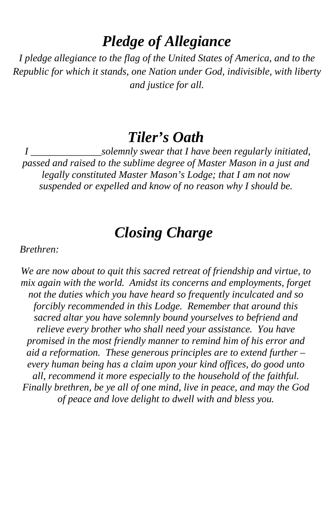### *Pledge of Allegiance*

*I pledge allegiance to the flag of the United States of America, and to the Republic for which it stands, one Nation under God, indivisible, with liberty and justice for all.*

### *Tiler's Oath*

*I \_\_\_\_\_\_\_\_\_\_\_\_\_\_solemnly swear that I have been regularly initiated, passed and raised to the sublime degree of Master Mason in a just and legally constituted Master Mason's Lodge; that I am not now suspended or expelled and know of no reason why I should be.*

## *Closing Charge*

*Brethren:*

*We are now about to quit this sacred retreat of friendship and virtue, to mix again with the world. Amidst its concerns and employments, forget not the duties which you have heard so frequently inculcated and so forcibly recommended in this Lodge. Remember that around this sacred altar you have solemnly bound yourselves to befriend and relieve every brother who shall need your assistance. You have promised in the most friendly manner to remind him of his error and aid a reformation. These generous principles are to extend further – every human being has a claim upon your kind offices, do good unto all, recommend it more especially to the household of the faithful. Finally brethren, be ye all of one mind, live in peace, and may the God of peace and love delight to dwell with and bless you.*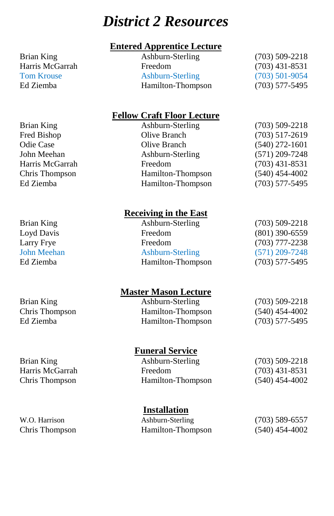## *District 2 Resources*

#### **Entered Apprentice Lecture**

Brian King Ashburn-Sterling (703) 509-2218 Harris McGarrah Freedom (703) 431-8531<br>Tom Krouse Ashburn-Sterling (703) 501-9054 Ashburn-Sterling Ed Ziemba **Hamilton-Thompson** (703) 577-5495

#### **Fellow Craft Floor Lecture**

| Brian King      | Ashburn-Sterling  | $(703)$ 509-2218 |
|-----------------|-------------------|------------------|
| Fred Bishop     | Olive Branch      | $(703)$ 517-2619 |
| Odie Case       | Olive Branch      | $(540)$ 272-1601 |
| John Meehan     | Ashburn-Sterling  | $(571)$ 209-7248 |
| Harris McGarrah | Freedom           | $(703)$ 431-8531 |
| Chris Thompson  | Hamilton-Thompson | $(540)$ 454-4002 |
| Ed Ziemba       | Hamilton-Thompson | $(703)$ 577-5495 |
|                 |                   |                  |

**Receiving in the East**

| Brian King  | Ashburn-Sterling  | $(703)$ 509-2218 |
|-------------|-------------------|------------------|
| Loyd Davis  | Freedom           | $(801)$ 390-6559 |
| Larry Frye  | Freedom           | $(703)$ 777-2238 |
| John Meehan | Ashburn-Sterling  | $(571)$ 209-7248 |
| Ed Ziemba   | Hamilton-Thompson | $(703)$ 577-5495 |
|             |                   |                  |

#### **Master Mason Lecture**

| Brian King     | Ashburn-Sterling  | $(703)$ 509-2218 |
|----------------|-------------------|------------------|
| Chris Thompson | Hamilton-Thompson | $(540)$ 454-4002 |
| Ed Ziemba      | Hamilton-Thompson | $(703)$ 577-5495 |

#### **Funeral Service**

| Brian King      | Ashburn-Sterling  | $(703)$ 509-2218 |
|-----------------|-------------------|------------------|
| Harris McGarrah | <b>Freedom</b>    | $(703)$ 431-8531 |
| Chris Thompson  | Hamilton-Thompson | $(540)$ 454-4002 |

#### **Installation**

| W.O. Harrison  | Ashburn-Sterling  | $(703)$ 589-6557 |
|----------------|-------------------|------------------|
| Chris Thompson | Hamilton-Thompson | $(540)$ 454-4002 |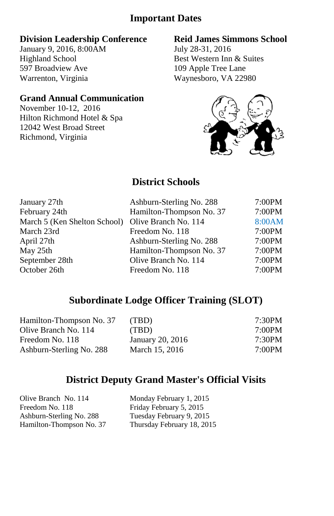#### **Important Dates**

#### **Division Leadership Conference**

January 9, 2016, 8:00AM Highland School 597 Broadview Ave Warrenton, Virginia

#### **Grand Annual Communication**

November 10-12, 2016 Hilton Richmond Hotel & Spa 12042 West Broad Street Richmond, Virginia

#### **Reid James Simmons School**

July 28-31, 2016 Best Western Inn & Suites 109 Apple Tree Lane Waynesboro, VA 22980



#### **District Schools**

| January 27th                 | Ashburn-Sterling No. 288 | 7:00PM |
|------------------------------|--------------------------|--------|
| February 24th                | Hamilton-Thompson No. 37 | 7:00PM |
| March 5 (Ken Shelton School) | Olive Branch No. 114     | 8:00AM |
| March 23rd                   | Freedom No. 118          | 7:00PM |
| April 27th                   | Ashburn-Sterling No. 288 | 7:00PM |
| May 25th                     | Hamilton-Thompson No. 37 | 7:00PM |
| September 28th               | Olive Branch No. 114     | 7:00PM |
| October 26th                 | Freedom No. 118          | 7:00PM |

#### **Subordinate Lodge Officer Training (SLOT)**

| 7:30PM |
|--------|
| 7:00PM |
| 7:30PM |
| 7:00PM |
|        |

#### **District Deputy Grand Master's Official Visits**

| Olive Branch No. 114     | Monday February 1, 2015    |
|--------------------------|----------------------------|
| Freedom No. 118          | Friday February 5, 2015    |
| Ashburn-Sterling No. 288 | Tuesday February 9, 2015   |
| Hamilton-Thompson No. 37 | Thursday February 18, 2015 |